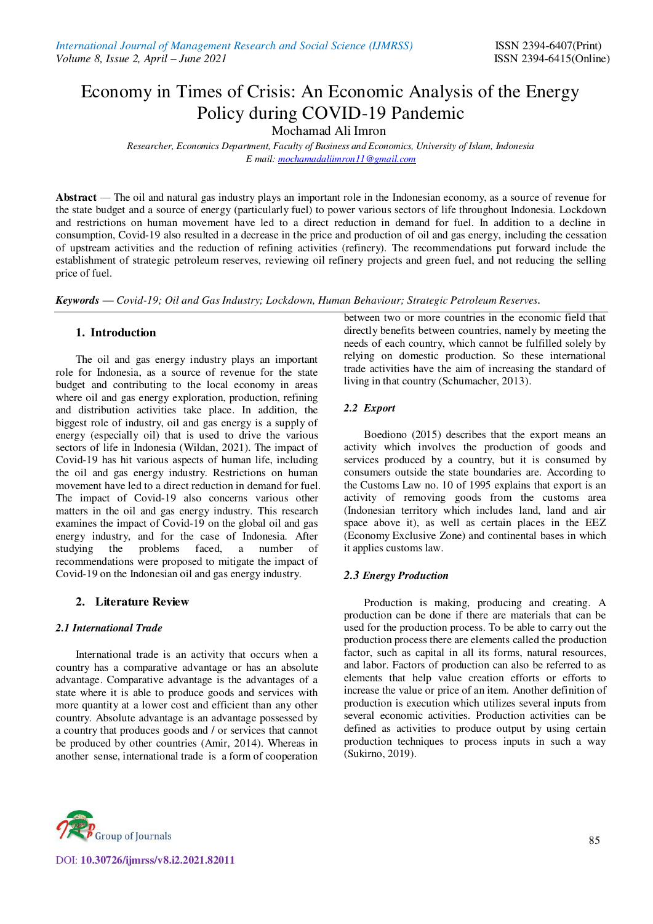# Economy in Times of Crisis: An Economic Analysis of the Energy Policy during COVID-19 Pandemic

Mochamad Ali Imron

*Researcher, Economics Department, Faculty of Business and Economics, University of Islam, Indonesia E mail[: mochamadaliimron11@gmail.com](mailto:mochamadaliimron11@gmail.com)* 

**Abstract** *—* The oil and natural gas industry plays an important role in the Indonesian economy, as a source of revenue for the state budget and a source of energy (particularly fuel) to power various sectors of life throughout Indonesia. Lockdown and restrictions on human movement have led to a direct reduction in demand for fuel. In addition to a decline in consumption, Covid-19 also resulted in a decrease in the price and production of oil and gas energy, including the cessation of upstream activities and the reduction of refining activities (refinery). The recommendations put forward include the establishment of strategic petroleum reserves, reviewing oil refinery projects and green fuel, and not reducing the selling price of fuel.

*Keywords — Covid-19; Oil and Gas Industry; Lockdown, Human Behaviour; Strategic Petroleum Reserves.* 

## **1. Introduction**

The oil and gas energy industry plays an important role for Indonesia, as a source of revenue for the state budget and contributing to the local economy in areas where oil and gas energy exploration, production, refining and distribution activities take place. In addition, the biggest role of industry, oil and gas energy is a supply of energy (especially oil) that is used to drive the various sectors of life in Indonesia (Wildan, 2021). The impact of Covid-19 has hit various aspects of human life, including the oil and gas energy industry. Restrictions on human movement have led to a direct reduction in demand for fuel. The impact of Covid-19 also concerns various other matters in the oil and gas energy industry. This research examines the impact of Covid-19 on the global oil and gas energy industry, and for the case of Indonesia. After studying the problems faced, a number of recommendations were proposed to mitigate the impact of Covid-19 on the Indonesian oil and gas energy industry.

## **2. Literature Review**

## *2.1 International Trade*

International trade is an activity that occurs when a country has a comparative advantage or has an absolute advantage. Comparative advantage is the advantages of a state where it is able to produce goods and services with more quantity at a lower cost and efficient than any other country. Absolute advantage is an advantage possessed by a country that produces goods and / or services that cannot be produced by other countries (Amir, 2014). Whereas in another sense, international trade is a form of cooperation between two or more countries in the economic field that directly benefits between countries, namely by meeting the needs of each country, which cannot be fulfilled solely by relying on domestic production. So these international trade activities have the aim of increasing the standard of living in that country (Schumacher, 2013).

## *2.2 Export*

Boediono (2015) describes that the export means an activity which involves the production of goods and services produced by a country, but it is consumed by consumers outside the state boundaries are. According to the Customs Law no. 10 of 1995 explains that export is an activity of removing goods from the customs area (Indonesian territory which includes land, land and air space above it), as well as certain places in the EEZ (Economy Exclusive Zone) and continental bases in which it applies customs law.

## *2.3 Energy Production*

Production is making, producing and creating. A production can be done if there are materials that can be used for the production process. To be able to carry out the production process there are elements called the production factor, such as capital in all its forms, natural resources, and labor. Factors of production can also be referred to as elements that help value creation efforts or efforts to increase the value or price of an item. Another definition of production is execution which utilizes several inputs from several economic activities. Production activities can be defined as activities to produce output by using certain production techniques to process inputs in such a way (Sukirno, 2019).

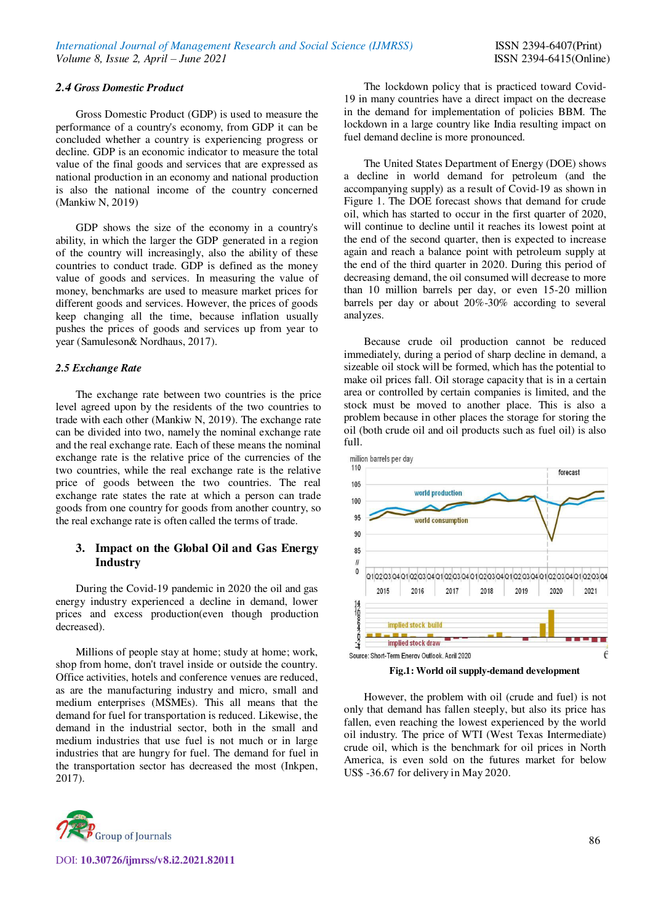#### *2.4 Gross Domestic Product*

Gross Domestic Product (GDP) is used to measure the performance of a country's economy, from GDP it can be concluded whether a country is experiencing progress or decline. GDP is an economic indicator to measure the total value of the final goods and services that are expressed as national production in an economy and national production is also the national income of the country concerned (Mankiw N, 2019)

GDP shows the size of the economy in a country's ability, in which the larger the GDP generated in a region of the country will increasingly, also the ability of these countries to conduct trade. GDP is defined as the money value of goods and services. In measuring the value of money, benchmarks are used to measure market prices for different goods and services. However, the prices of goods keep changing all the time, because inflation usually pushes the prices of goods and services up from year to year (Samuleson& Nordhaus, 2017).

#### *2.5 Exchange Rate*

The exchange rate between two countries is the price level agreed upon by the residents of the two countries to trade with each other (Mankiw N, 2019). The exchange rate can be divided into two, namely the nominal exchange rate and the real exchange rate. Each of these means the nominal exchange rate is the relative price of the currencies of the two countries, while the real exchange rate is the relative price of goods between the two countries. The real exchange rate states the rate at which a person can trade goods from one country for goods from another country, so the real exchange rate is often called the terms of trade.

## **3. Impact on the Global Oil and Gas Energy Industry**

During the Covid-19 pandemic in 2020 the oil and gas energy industry experienced a decline in demand, lower prices and excess production(even though production decreased).

Millions of people stay at home; study at home; work, shop from home, don't travel inside or outside the country. Office activities, hotels and conference venues are reduced, as are the manufacturing industry and micro, small and medium enterprises (MSMEs). This all means that the demand for fuel for transportation is reduced. Likewise, the demand in the industrial sector, both in the small and medium industries that use fuel is not much or in large industries that are hungry for fuel. The demand for fuel in the transportation sector has decreased the most (Inkpen, 2017).

The lockdown policy that is practiced toward Covid-19 in many countries have a direct impact on the decrease in the demand for implementation of policies BBM. The lockdown in a large country like India resulting impact on fuel demand decline is more pronounced.

The United States Department of Energy (DOE) shows a decline in world demand for petroleum (and the accompanying supply) as a result of Covid-19 as shown in Figure 1. The DOE forecast shows that demand for crude oil, which has started to occur in the first quarter of 2020, will continue to decline until it reaches its lowest point at the end of the second quarter, then is expected to increase again and reach a balance point with petroleum supply at the end of the third quarter in 2020. During this period of decreasing demand, the oil consumed will decrease to more than 10 million barrels per day, or even 15-20 million barrels per day or about 20%-30% according to several analyzes.

Because crude oil production cannot be reduced immediately, during a period of sharp decline in demand, a sizeable oil stock will be formed, which has the potential to make oil prices fall. Oil storage capacity that is in a certain area or controlled by certain companies is limited, and the stock must be moved to another place. This is also a problem because in other places the storage for storing the oil (both crude oil and oil products such as fuel oil) is also full.



**Fig.1: World oil supply-demand development** 

However, the problem with oil (crude and fuel) is not only that demand has fallen steeply, but also its price has fallen, even reaching the lowest experienced by the world oil industry. The price of WTI (West Texas Intermediate) crude oil, which is the benchmark for oil prices in North America, is even sold on the futures market for below US\$ -36.67 for delivery in May 2020.

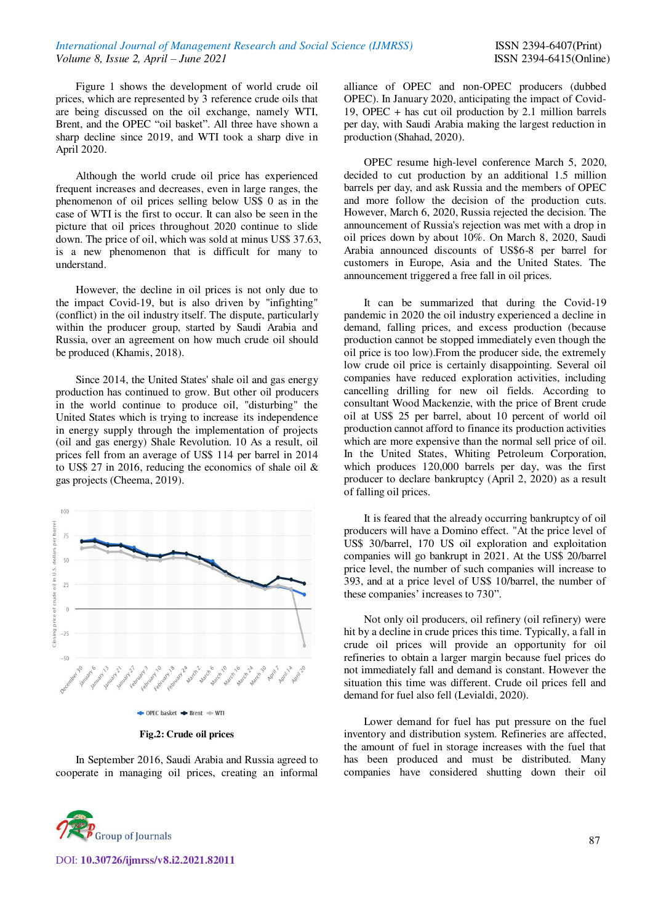Figure 1 shows the development of world crude oil prices, which are represented by 3 reference crude oils that are being discussed on the oil exchange, namely WTI, Brent, and the OPEC "oil basket". All three have shown a sharp decline since 2019, and WTI took a sharp dive in April 2020.

Although the world crude oil price has experienced frequent increases and decreases, even in large ranges, the phenomenon of oil prices selling below US\$ 0 as in the case of WTI is the first to occur. It can also be seen in the picture that oil prices throughout 2020 continue to slide down. The price of oil, which was sold at minus US\$ 37.63, is a new phenomenon that is difficult for many to understand.

However, the decline in oil prices is not only due to the impact Covid-19, but is also driven by "infighting" (conflict) in the oil industry itself. The dispute, particularly within the producer group, started by Saudi Arabia and Russia, over an agreement on how much crude oil should be produced (Khamis, 2018).

Since 2014, the United States' shale oil and gas energy production has continued to grow. But other oil producers in the world continue to produce oil, "disturbing" the United States which is trying to increase its independence in energy supply through the implementation of projects (oil and gas energy) Shale Revolution. 10 As a result, oil prices fell from an average of US\$ 114 per barrel in 2014 to US\$ 27 in 2016, reducing the economics of shale oil & gas projects (Cheema, 2019).



**Fig.2: Crude oil prices** 

In September 2016, Saudi Arabia and Russia agreed to cooperate in managing oil prices, creating an informal alliance of OPEC and non-OPEC producers (dubbed OPEC). In January 2020, anticipating the impact of Covid-19, OPEC + has cut oil production by 2.1 million barrels per day, with Saudi Arabia making the largest reduction in production (Shahad, 2020).

OPEC resume high-level conference March 5, 2020, decided to cut production by an additional 1.5 million barrels per day, and ask Russia and the members of OPEC and more follow the decision of the production cuts. However, March 6, 2020, Russia rejected the decision. The announcement of Russia's rejection was met with a drop in oil prices down by about 10%. On March 8, 2020, Saudi Arabia announced discounts of US\$6-8 per barrel for customers in Europe, Asia and the United States. The announcement triggered a free fall in oil prices.

It can be summarized that during the Covid-19 pandemic in 2020 the oil industry experienced a decline in demand, falling prices, and excess production (because production cannot be stopped immediately even though the oil price is too low).From the producer side, the extremely low crude oil price is certainly disappointing. Several oil companies have reduced exploration activities, including cancelling drilling for new oil fields. According to consultant Wood Mackenzie, with the price of Brent crude oil at US\$ 25 per barrel, about 10 percent of world oil production cannot afford to finance its production activities which are more expensive than the normal sell price of oil. In the United States, Whiting Petroleum Corporation, which produces 120,000 barrels per day, was the first producer to declare bankruptcy (April 2, 2020) as a result of falling oil prices.

It is feared that the already occurring bankruptcy of oil producers will have a Domino effect. "At the price level of US\$ 30/barrel, 170 US oil exploration and exploitation companies will go bankrupt in 2021. At the US\$ 20/barrel price level, the number of such companies will increase to 393, and at a price level of US\$ 10/barrel, the number of these companies' increases to 730".

Not only oil producers, oil refinery (oil refinery) were hit by a decline in crude prices this time. Typically, a fall in crude oil prices will provide an opportunity for oil refineries to obtain a larger margin because fuel prices do not immediately fall and demand is constant. However the situation this time was different. Crude oil prices fell and demand for fuel also fell (Levialdi, 2020).

Lower demand for fuel has put pressure on the fuel inventory and distribution system. Refineries are affected, the amount of fuel in storage increases with the fuel that has been produced and must be distributed. Many companies have considered shutting down their oil

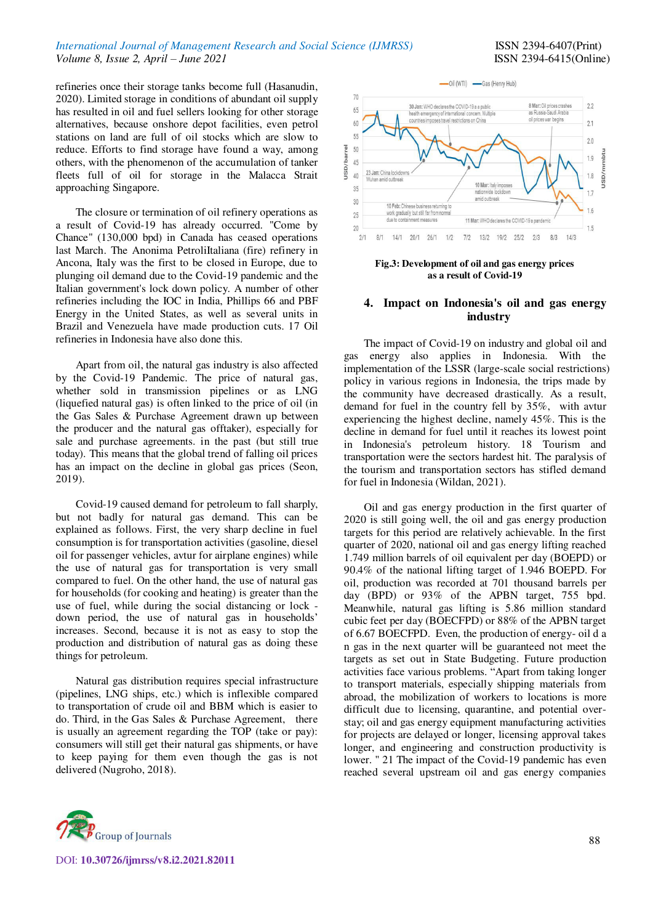## *International Journal of Management Research and Social Science (IJMRSS)* ISSN 2394-6407(Print) *Volume 8, Issue 2, April – June 2021* ISSN 2394-6415(Online)

refineries once their storage tanks become full (Hasanudin, 2020). Limited storage in conditions of abundant oil supply has resulted in oil and fuel sellers looking for other storage alternatives, because onshore depot facilities, even petrol stations on land are full of oil stocks which are slow to reduce. Efforts to find storage have found a way, among others, with the phenomenon of the accumulation of tanker fleets full of oil for storage in the Malacca Strait approaching Singapore.

The closure or termination of oil refinery operations as a result of Covid-19 has already occurred. "Come by Chance" (130,000 bpd) in Canada has ceased operations last March. The Anonima PetroliItaliana (fire) refinery in Ancona, Italy was the first to be closed in Europe, due to plunging oil demand due to the Covid-19 pandemic and the Italian government's lock down policy. A number of other refineries including the IOC in India, Phillips 66 and PBF Energy in the United States, as well as several units in Brazil and Venezuela have made production cuts. 17 Oil refineries in Indonesia have also done this.

Apart from oil, the natural gas industry is also affected by the Covid-19 Pandemic. The price of natural gas, whether sold in transmission pipelines or as LNG (liquefied natural gas) is often linked to the price of oil (in the Gas Sales & Purchase Agreement drawn up between the producer and the natural gas offtaker), especially for sale and purchase agreements. in the past (but still true today). This means that the global trend of falling oil prices has an impact on the decline in global gas prices (Seon, 2019).

Covid-19 caused demand for petroleum to fall sharply, but not badly for natural gas demand. This can be explained as follows. First, the very sharp decline in fuel consumption is for transportation activities (gasoline, diesel oil for passenger vehicles, avtur for airplane engines) while the use of natural gas for transportation is very small compared to fuel. On the other hand, the use of natural gas for households (for cooking and heating) is greater than the use of fuel, while during the social distancing or lock down period, the use of natural gas in households' increases. Second, because it is not as easy to stop the production and distribution of natural gas as doing these things for petroleum.

Natural gas distribution requires special infrastructure (pipelines, LNG ships, etc.) which is inflexible compared to transportation of crude oil and BBM which is easier to do. Third, in the Gas Sales & Purchase Agreement, there is usually an agreement regarding the TOP (take or pay): consumers will still get their natural gas shipments, or have to keep paying for them even though the gas is not delivered (Nugroho, 2018).



**Fig.3: Development of oil and gas energy prices as a result of Covid-19**

## **4. Impact on Indonesia's oil and gas energy industry**

The impact of Covid-19 on industry and global oil and gas energy also applies in Indonesia. With the implementation of the LSSR (large-scale social restrictions) policy in various regions in Indonesia, the trips made by the community have decreased drastically. As a result, demand for fuel in the country fell by 35%, with avtur experiencing the highest decline, namely 45%. This is the decline in demand for fuel until it reaches its lowest point in Indonesia's petroleum history. 18 Tourism and transportation were the sectors hardest hit. The paralysis of the tourism and transportation sectors has stifled demand for fuel in Indonesia (Wildan, 2021).

Oil and gas energy production in the first quarter of 2020 is still going well, the oil and gas energy production targets for this period are relatively achievable. In the first quarter of 2020, national oil and gas energy lifting reached 1.749 million barrels of oil equivalent per day (BOEPD) or 90.4% of the national lifting target of 1.946 BOEPD. For oil, production was recorded at 701 thousand barrels per day (BPD) or 93% of the APBN target, 755 bpd. Meanwhile, natural gas lifting is 5.86 million standard cubic feet per day (BOECFPD) or 88% of the APBN target of 6.67 BOECFPD. Even, the production of energy- oil d a n gas in the next quarter will be guaranteed not meet the targets as set out in State Budgeting. Future production activities face various problems. "Apart from taking longer to transport materials, especially shipping materials from abroad, the mobilization of workers to locations is more difficult due to licensing, quarantine, and potential overstay; oil and gas energy equipment manufacturing activities for projects are delayed or longer, licensing approval takes longer, and engineering and construction productivity is lower. " 21 The impact of the Covid-19 pandemic has even reached several upstream oil and gas energy companies



DOI: **10.30726/ijmrss/v8.i2.2021.82011**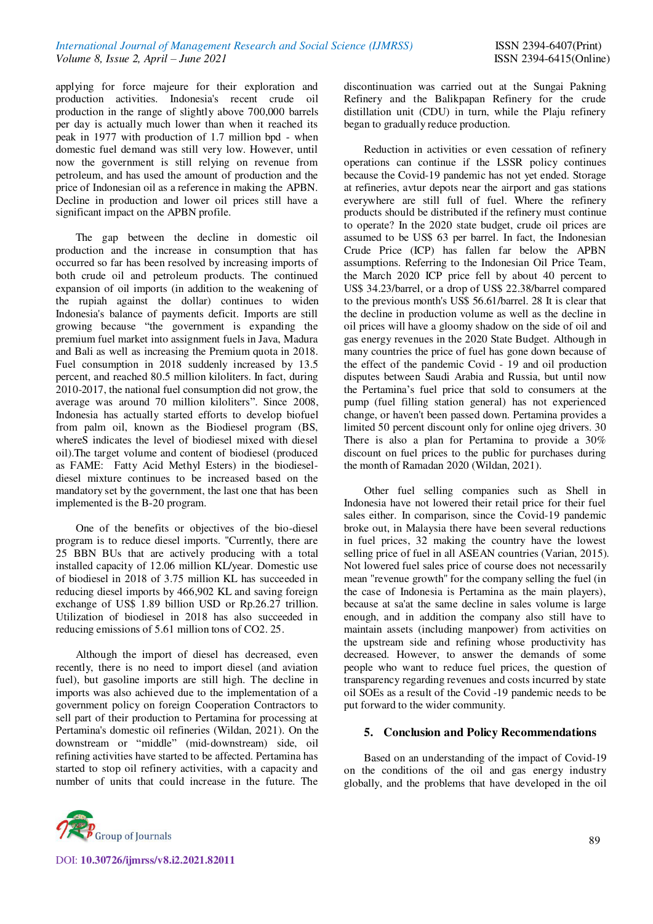applying for force majeure for their exploration and production activities. Indonesia's recent crude oil production in the range of slightly above 700,000 barrels per day is actually much lower than when it reached its peak in 1977 with production of 1.7 million bpd - when domestic fuel demand was still very low. However, until now the government is still relying on revenue from petroleum, and has used the amount of production and the price of Indonesian oil as a reference in making the APBN. Decline in production and lower oil prices still have a significant impact on the APBN profile.

The gap between the decline in domestic oil production and the increase in consumption that has occurred so far has been resolved by increasing imports of both crude oil and petroleum products. The continued expansion of oil imports (in addition to the weakening of the rupiah against the dollar) continues to widen Indonesia's balance of payments deficit. Imports are still growing because "the government is expanding the premium fuel market into assignment fuels in Java, Madura and Bali as well as increasing the Premium quota in 2018. Fuel consumption in 2018 suddenly increased by 13.5 percent, and reached 80.5 million kiloliters. In fact, during 2010-2017, the national fuel consumption did not grow, the average was around 70 million kiloliters". Since 2008, Indonesia has actually started efforts to develop biofuel from palm oil, known as the Biodiesel program (BS, whereS indicates the level of biodiesel mixed with diesel oil).The target volume and content of biodiesel (produced as FAME: Fatty Acid Methyl Esters) in the biodieseldiesel mixture continues to be increased based on the mandatory set by the government, the last one that has been implemented is the B-20 program.

One of the benefits or objectives of the bio-diesel program is to reduce diesel imports. "Currently, there are 25 BBN BUs that are actively producing with a total installed capacity of 12.06 million KL/year. Domestic use of biodiesel in 2018 of 3.75 million KL has succeeded in reducing diesel imports by 466,902 KL and saving foreign exchange of US\$ 1.89 billion USD or Rp.26.27 trillion. Utilization of biodiesel in 2018 has also succeeded in reducing emissions of 5.61 million tons of CO2. 25.

Although the import of diesel has decreased, even recently, there is no need to import diesel (and aviation fuel), but gasoline imports are still high. The decline in imports was also achieved due to the implementation of a government policy on foreign Cooperation Contractors to sell part of their production to Pertamina for processing at Pertamina's domestic oil refineries (Wildan, 2021). On the downstream or "middle" (mid-downstream) side, oil refining activities have started to be affected. Pertamina has started to stop oil refinery activities, with a capacity and number of units that could increase in the future. The



discontinuation was carried out at the Sungai Pakning Refinery and the Balikpapan Refinery for the crude distillation unit (CDU) in turn, while the Plaju refinery began to gradually reduce production.

Reduction in activities or even cessation of refinery operations can continue if the LSSR policy continues because the Covid-19 pandemic has not yet ended. Storage at refineries, avtur depots near the airport and gas stations everywhere are still full of fuel. Where the refinery products should be distributed if the refinery must continue to operate? In the 2020 state budget, crude oil prices are assumed to be US\$ 63 per barrel. In fact, the Indonesian Crude Price (ICP) has fallen far below the APBN assumptions. Referring to the Indonesian Oil Price Team, the March 2020 ICP price fell by about 40 percent to US\$ 34.23/barrel, or a drop of US\$ 22.38/barrel compared to the previous month's US\$ 56.61/barrel. 28 It is clear that the decline in production volume as well as the decline in oil prices will have a gloomy shadow on the side of oil and gas energy revenues in the 2020 State Budget. Although in many countries the price of fuel has gone down because of the effect of the pandemic Covid - 19 and oil production disputes between Saudi Arabia and Russia, but until now the Pertamina's fuel price that sold to consumers at the pump (fuel filling station general) has not experienced change, or haven't been passed down. Pertamina provides a limited 50 percent discount only for online ojeg drivers. 30 There is also a plan for Pertamina to provide a 30% discount on fuel prices to the public for purchases during the month of Ramadan 2020 (Wildan, 2021).

Other fuel selling companies such as Shell in Indonesia have not lowered their retail price for their fuel sales either. In comparison, since the Covid-19 pandemic broke out, in Malaysia there have been several reductions in fuel prices, 32 making the country have the lowest selling price of fuel in all ASEAN countries (Varian, 2015). Not lowered fuel sales price of course does not necessarily mean "revenue growth" for the company selling the fuel (in the case of Indonesia is Pertamina as the main players), because at sa'at the same decline in sales volume is large enough, and in addition the company also still have to maintain assets (including manpower) from activities on the upstream side and refining whose productivity has decreased. However, to answer the demands of some people who want to reduce fuel prices, the question of transparency regarding revenues and costs incurred by state oil SOEs as a result of the Covid -19 pandemic needs to be put forward to the wider community.

# **5. Conclusion and Policy Recommendations**

Based on an understanding of the impact of Covid-19 on the conditions of the oil and gas energy industry globally, and the problems that have developed in the oil